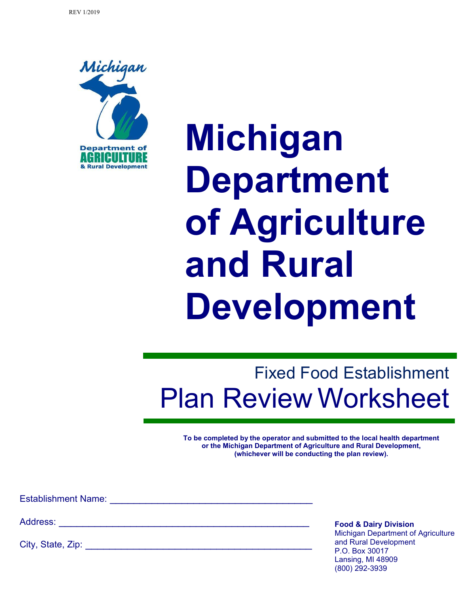

**Michigan Department of Agriculture and Rural Development**

# Fixed Food Establishment Plan Review Worksheet

**To be completed by the operator and submitted to the local health department or the Michigan Department of Agriculture and Rural Development, (whichever will be conducting the plan review).**

Establishment Name: \_\_\_\_\_\_\_\_\_\_\_\_\_\_\_\_\_\_\_\_\_\_\_\_\_\_\_\_\_\_\_\_\_\_

Address:

City, State, Zip: \_\_\_\_\_\_\_\_\_\_\_\_\_\_\_\_\_\_\_\_\_\_\_\_\_\_\_\_\_\_\_\_\_\_\_\_\_\_

**Food & Dairy Division** Michigan Department of Agriculture and Rural Development P.O. Box 30017 Lansing, MI 48909 (800) 292-3939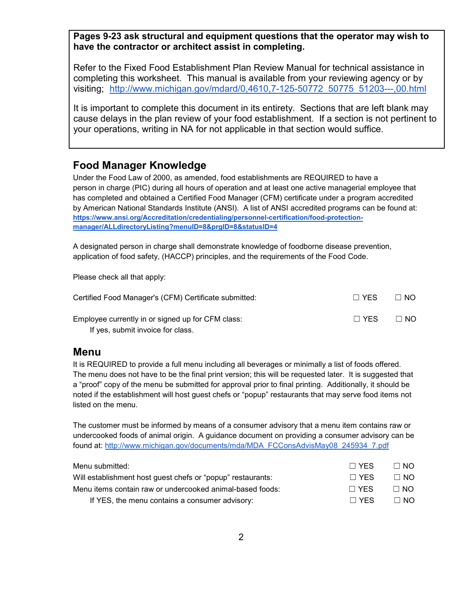**Pages 9-23 ask structural and equipment questions that the operator may wish to have the contractor or architect assist in completing.**

Refer to the Fixed Food Establishment Plan Review Manual for technical assistance in completing this worksheet. This manual is available from your reviewing agency or by visiting; [http://www.michigan.gov/mdard/0,4610,7-125-50772\\_50775\\_51203---,00.html](http://www.michigan.gov/mdard/0,4610,7-125-50772_50775_51203---,00.html)

It is important to complete this document in its entirety. Sections that are left blank may cause delays in the plan review of your food establishment. If a section is not pertinent to your operations, writing in NA for not applicable in that section would suffice.

#### **Food Manager Knowledge**

Under the Food Law of 2000, as amended, food establishments are REQUIRED to have a person in charge (PIC) during all hours of operation and at least one active managerial employee that has completed and obtained a Certified Food Manager (CFM) certificate under a program accredited by American National Standards Institute (ANSI). A list of ANSI accredited programs can be found at: **[https://www.ansi.org/Accreditation/credentialing/personnel-certification/food-protection](https://www.ansi.org/Accreditation/credentialing/personnel-certification/food-protection-manager/ALLdirectoryListing?menuID=8&prgID=8&statusID=4)[manager/ALLdirectoryListing?menuID=8&prgID=8&statusID=4](https://www.ansi.org/Accreditation/credentialing/personnel-certification/food-protection-manager/ALLdirectoryListing?menuID=8&prgID=8&statusID=4)**

A designated person in charge shall demonstrate knowledge of foodborne disease prevention, application of food safety, (HACCP) principles, and the requirements of the Food Code.

Please check all that apply:

| Certified Food Manager's (CFM) Certificate submitted: |            | $\Box$ No |
|-------------------------------------------------------|------------|-----------|
| Employee currently in or signed up for CFM class:     | $\Box$ YFS | $\Box$ NO |
| If yes, submit invoice for class.                     |            |           |

#### **Menu**

It is REQUIRED to provide a full menu including all beverages or minimally a list of foods offered. The menu does not have to be the final print version; this will be requested later. It is suggested that a "proof" copy of the menu be submitted for approval prior to final printing. Additionally, it should be noted if the establishment will host guest chefs or "popup" restaurants that may serve food items not listed on the menu.

The customer must be informed by means of a consumer advisory that a menu item contains raw or undercooked foods of animal origin. A guidance document on providing a consumer advisory can be found at[:](http://www.michigan.gov/documents/mda/MDA_FCConsAdvisMay08_245934_7.pdf) [http://www.michigan.gov/documents/mda/MDA\\_FCConsAdvisMay08\\_245934\\_7.pdf](http://www.michigan.gov/documents/mda/MDA_FCConsAdvisMay08_245934_7.pdf)

| Menu submitted:                                             | $\Box$ YFS | $\Box$ NO |
|-------------------------------------------------------------|------------|-----------|
| Will establishment host guest chefs or "popup" restaurants: | $\Box$ YFS | $\Box$ NO |
| Menu items contain raw or undercooked animal-based foods:   | $\Box$ YFS | $\Box$ NO |
| If YES, the menu contains a consumer advisory:              | $\Box$ YFS | $\Box$ NO |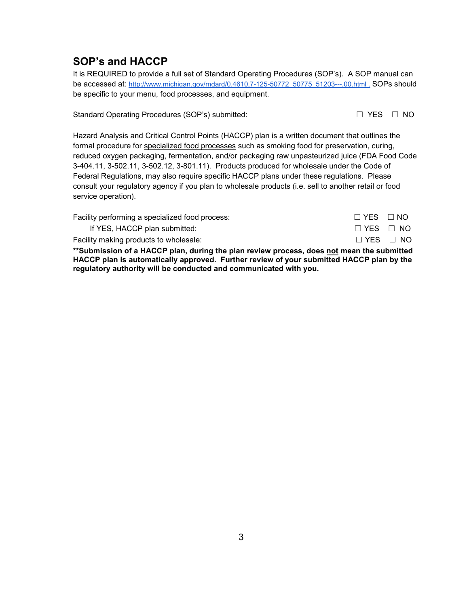#### **SOP's and HACCP**

It is REQUIRED to provide a full set of Standard Operating Procedures (SOP's). A SOP manual can be accessed at: [http://www.michigan.gov/mdard/0,4610,7-125-50772\\_50775\\_51203---,00.html .](http://www.michigan.gov/mdard/0,4610,7-125-50772_50775_51203---,00.html) [SOPs](http://www.michigan.gov/mdard/0,4610,7-125-50772_50775_51203---,00.html) should [be](http://www.michigan.gov/mdard/0,4610,7-125-50772_50775_51203---,00.html) [specific](http://www.michigan.gov/mdard/0,4610,7-125-50772_50775_51203---,00.html) [to](http://www.michigan.gov/mdard/0,4610,7-125-50772_50775_51203---,00.html) [your](http://www.michigan.gov/mdard/0,4610,7-125-50772_50775_51203---,00.html) [menu](http://www.michigan.gov/mdard/0,4610,7-125-50772_50775_51203---,00.html), food processes, [and](http://www.michigan.gov/mdard/0,4610,7-125-50772_50775_51203---,00.html) [equipment.](http://www.michigan.gov/mdard/0,4610,7-125-50772_50775_51203---,00.html)

Standard Operating Procedures (SOP's) submitted: ☐ YES ☐ NO

Hazard Analysis and Critical Control Points (HACCP) plan is a written document that outlines the formal procedure for specialized food processes such as smoking food for preservation, curing, reduced oxygen packaging, fermentation, and/or packaging raw unpasteurized juice (FDA Food Code 3-404.11, 3-502.11, 3-502.12, 3-801.11). Products produced for wholesale under the Code of Federal Regulations, may also require specific HACCP plans under these regulations. Please consult your regulatory agency if you plan to wholesale products (i.e. sell to another retail or food service operation).

| Facility performing a specialized food process: | $\Box$ YES $\Box$ NO |  |
|-------------------------------------------------|----------------------|--|
| If YES, HACCP plan submitted:                   | $\Box$ YES $\Box$ NO |  |
| Facility making products to wholesale:          | $\Box$ YES $\Box$ NO |  |

**\*\*Submission of a HACCP plan, during the plan review process, does not mean the submitted HACCP plan is automatically approved. Further review of your submitted HACCP plan by the regulatory authority will be conducted and communicated with you.**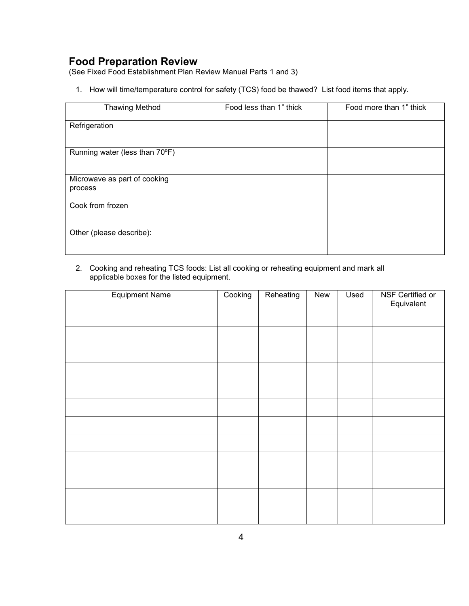# **Food Preparation Review**

(See Fixed Food Establishment Plan Review Manual Parts 1 and 3)

1. How will time/temperature control for safety (TCS) food be thawed?List food items that apply.

| <b>Thawing Method</b>                   | Food less than 1" thick | Food more than 1" thick |
|-----------------------------------------|-------------------------|-------------------------|
| Refrigeration                           |                         |                         |
| Running water (less than 70°F)          |                         |                         |
| Microwave as part of cooking<br>process |                         |                         |
| Cook from frozen                        |                         |                         |
| Other (please describe):                |                         |                         |

2. Cooking and reheating TCS foods: List all cooking or reheating equipment and mark all applicable boxes for the listed equipment.

| <b>Equipment Name</b> | Cooking | Reheating | New | Used | NSF Certified or<br>Equivalent |
|-----------------------|---------|-----------|-----|------|--------------------------------|
|                       |         |           |     |      |                                |
|                       |         |           |     |      |                                |
|                       |         |           |     |      |                                |
|                       |         |           |     |      |                                |
|                       |         |           |     |      |                                |
|                       |         |           |     |      |                                |
|                       |         |           |     |      |                                |
|                       |         |           |     |      |                                |
|                       |         |           |     |      |                                |
|                       |         |           |     |      |                                |
|                       |         |           |     |      |                                |
|                       |         |           |     |      |                                |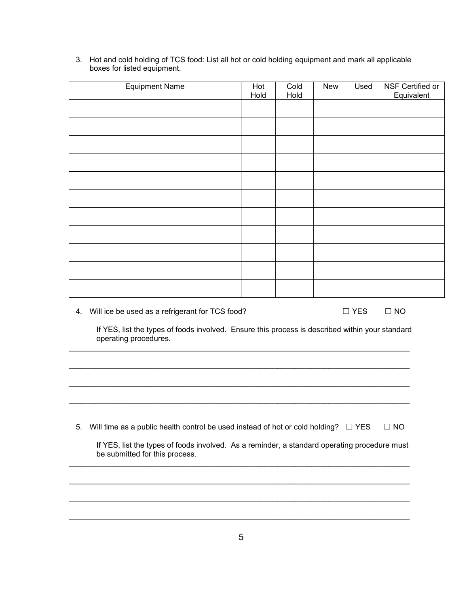| <b>Equipment Name</b>                                                                                                                                                                                                                                                                                                                                            | Hot<br>Hold | Cold<br>Hold | New | Used          | NSF Certified or<br>Equivalent |
|------------------------------------------------------------------------------------------------------------------------------------------------------------------------------------------------------------------------------------------------------------------------------------------------------------------------------------------------------------------|-------------|--------------|-----|---------------|--------------------------------|
|                                                                                                                                                                                                                                                                                                                                                                  |             |              |     |               |                                |
|                                                                                                                                                                                                                                                                                                                                                                  |             |              |     |               |                                |
|                                                                                                                                                                                                                                                                                                                                                                  |             |              |     |               |                                |
|                                                                                                                                                                                                                                                                                                                                                                  |             |              |     |               |                                |
|                                                                                                                                                                                                                                                                                                                                                                  |             |              |     |               |                                |
|                                                                                                                                                                                                                                                                                                                                                                  |             |              |     |               |                                |
|                                                                                                                                                                                                                                                                                                                                                                  |             |              |     |               |                                |
|                                                                                                                                                                                                                                                                                                                                                                  |             |              |     |               |                                |
|                                                                                                                                                                                                                                                                                                                                                                  |             |              |     |               |                                |
|                                                                                                                                                                                                                                                                                                                                                                  |             |              |     |               |                                |
|                                                                                                                                                                                                                                                                                                                                                                  |             |              |     |               |                                |
| 4. Will ice be used as a refrigerant for TCS food?<br>$\mathbf{R}$ $\mathbf{V}$ $\mathbf{P}$ $\mathbf{A}$ $\mathbf{B}$ and $\mathbf{A}$ $\mathbf{B}$ and $\mathbf{B}$ and $\mathbf{B}$ and $\mathbf{B}$ and $\mathbf{B}$ and $\mathbf{B}$ and $\mathbf{B}$ and $\mathbf{B}$ and $\mathbf{B}$ and $\mathbf{B}$ and $\mathbf{B}$ and $\mathbf{B}$ and $\mathbf{B}$ |             |              |     | $\square$ YES | $\Box$ NO                      |

3. Hot and cold holding of TCS food: List all hot or cold holding equipment and mark all applicable boxes for listed equipment.

If YES, list the types of foods involved. Ensure this process is described within your standard operating procedures.

5. Will time as a public health control be used instead of hot or cold holding?  $\Box$  YES  $\Box$  NO

\_\_\_\_\_\_\_\_\_\_\_\_\_\_\_\_\_\_\_\_\_\_\_\_\_\_\_\_\_\_\_\_\_\_\_\_\_\_\_\_\_\_\_\_\_\_\_\_\_\_\_\_\_\_\_\_\_\_\_\_\_\_\_\_\_\_\_\_\_\_\_\_\_\_\_\_\_\_\_\_

\_\_\_\_\_\_\_\_\_\_\_\_\_\_\_\_\_\_\_\_\_\_\_\_\_\_\_\_\_\_\_\_\_\_\_\_\_\_\_\_\_\_\_\_\_\_\_\_\_\_\_\_\_\_\_\_\_\_\_\_\_\_\_\_\_\_\_\_\_\_\_\_\_\_\_\_\_\_\_\_

\_\_\_\_\_\_\_\_\_\_\_\_\_\_\_\_\_\_\_\_\_\_\_\_\_\_\_\_\_\_\_\_\_\_\_\_\_\_\_\_\_\_\_\_\_\_\_\_\_\_\_\_\_\_\_\_\_\_\_\_\_\_\_\_\_\_\_\_\_\_\_\_\_\_\_\_\_\_\_\_

\_\_\_\_\_\_\_\_\_\_\_\_\_\_\_\_\_\_\_\_\_\_\_\_\_\_\_\_\_\_\_\_\_\_\_\_\_\_\_\_\_\_\_\_\_\_\_\_\_\_\_\_\_\_\_\_\_\_\_\_\_\_\_\_\_\_\_\_\_\_\_\_\_\_\_\_\_\_\_\_

\_\_\_\_\_\_\_\_\_\_\_\_\_\_\_\_\_\_\_\_\_\_\_\_\_\_\_\_\_\_\_\_\_\_\_\_\_\_\_\_\_\_\_\_\_\_\_\_\_\_\_\_\_\_\_\_\_\_\_\_\_\_\_\_\_\_\_\_\_\_\_\_\_\_\_\_\_\_\_\_

\_\_\_\_\_\_\_\_\_\_\_\_\_\_\_\_\_\_\_\_\_\_\_\_\_\_\_\_\_\_\_\_\_\_\_\_\_\_\_\_\_\_\_\_\_\_\_\_\_\_\_\_\_\_\_\_\_\_\_\_\_\_\_\_\_\_\_\_\_\_\_\_\_\_\_\_\_\_\_\_

\_\_\_\_\_\_\_\_\_\_\_\_\_\_\_\_\_\_\_\_\_\_\_\_\_\_\_\_\_\_\_\_\_\_\_\_\_\_\_\_\_\_\_\_\_\_\_\_\_\_\_\_\_\_\_\_\_\_\_\_\_\_\_\_\_\_\_\_\_\_\_\_\_\_\_\_\_\_\_\_

\_\_\_\_\_\_\_\_\_\_\_\_\_\_\_\_\_\_\_\_\_\_\_\_\_\_\_\_\_\_\_\_\_\_\_\_\_\_\_\_\_\_\_\_\_\_\_\_\_\_\_\_\_\_\_\_\_\_\_\_\_\_\_\_\_\_\_\_\_\_\_\_\_\_\_\_\_\_\_\_

If YES, list the types of foods involved. As a reminder, a standard operating procedure must be submitted for this process.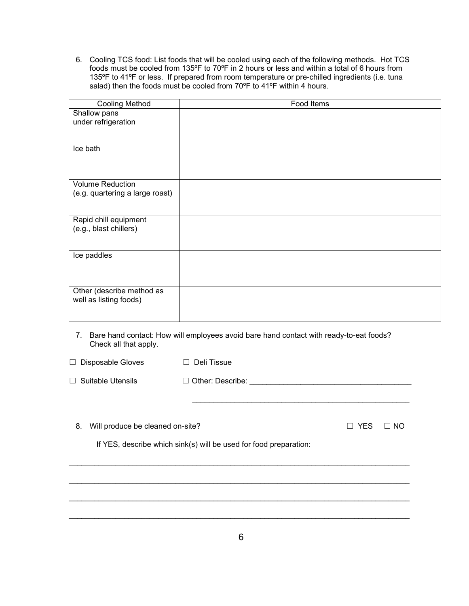6. Cooling TCS food: List foods that will be cooled using each of the following methods. Hot TCS foods must be cooled from 135ºF to 70ºF in 2 hours or less and within a total of 6 hours from 135ºF to 41ºF or less. If prepared from room temperature or pre-chilled ingredients (i.e. tuna salad) then the foods must be cooled from 70ºF to 41ºF within 4 hours.

| <b>Cooling Method</b>           | Food Items |
|---------------------------------|------------|
| Shallow pans                    |            |
| under refrigeration             |            |
|                                 |            |
| Ice bath                        |            |
|                                 |            |
|                                 |            |
| <b>Volume Reduction</b>         |            |
| (e.g. quartering a large roast) |            |
|                                 |            |
| Rapid chill equipment           |            |
| (e.g., blast chillers)          |            |
|                                 |            |
|                                 |            |
| Ice paddles                     |            |
|                                 |            |
|                                 |            |
| Other (describe method as       |            |
| well as listing foods)          |            |
|                                 |            |

7. Bare hand contact: How will employees avoid bare hand contact with ready-to-eat foods? Check all that apply.

| Disposable Gloves<br>$\Box$            | Deli Tissue                                                       |                      |                |
|----------------------------------------|-------------------------------------------------------------------|----------------------|----------------|
| Suitable Utensils                      | $\Box$ Other: Describe:                                           |                      |                |
| 8.<br>Will produce be cleaned on-site? | If YES, describe which sink(s) will be used for food preparation: | <b>YES</b><br>$\Box$ | NO.<br>$\perp$ |
|                                        |                                                                   |                      |                |

\_\_\_\_\_\_\_\_\_\_\_\_\_\_\_\_\_\_\_\_\_\_\_\_\_\_\_\_\_\_\_\_\_\_\_\_\_\_\_\_\_\_\_\_\_\_\_\_\_\_\_\_\_\_\_\_\_\_\_\_\_\_\_\_\_\_\_\_\_\_\_\_\_\_\_\_\_\_\_\_

\_\_\_\_\_\_\_\_\_\_\_\_\_\_\_\_\_\_\_\_\_\_\_\_\_\_\_\_\_\_\_\_\_\_\_\_\_\_\_\_\_\_\_\_\_\_\_\_\_\_\_\_\_\_\_\_\_\_\_\_\_\_\_\_\_\_\_\_\_\_\_\_\_\_\_\_\_\_\_\_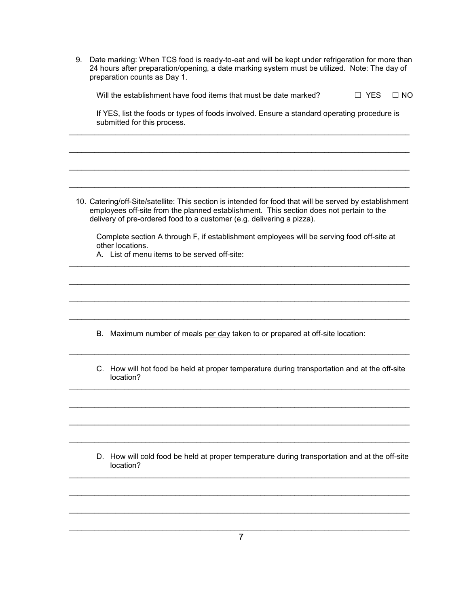9. Date marking: When TCS food is ready-to-eat and will be kept under refrigeration for more than 24 hours after preparation/opening, a date marking system must be utilized. Note: The day of preparation counts as Day 1.

| Will the establishment have food items that must be date marked? | $\Box$ YES $\Box$ NO |  |
|------------------------------------------------------------------|----------------------|--|
|------------------------------------------------------------------|----------------------|--|

If YES, list the foods or types of foods involved. Ensure a standard operating procedure is submitted for this process.

\_\_\_\_\_\_\_\_\_\_\_\_\_\_\_\_\_\_\_\_\_\_\_\_\_\_\_\_\_\_\_\_\_\_\_\_\_\_\_\_\_\_\_\_\_\_\_\_\_\_\_\_\_\_\_\_\_\_\_\_\_\_\_\_\_\_\_\_\_\_\_\_\_\_\_\_\_\_\_\_

\_\_\_\_\_\_\_\_\_\_\_\_\_\_\_\_\_\_\_\_\_\_\_\_\_\_\_\_\_\_\_\_\_\_\_\_\_\_\_\_\_\_\_\_\_\_\_\_\_\_\_\_\_\_\_\_\_\_\_\_\_\_\_\_\_\_\_\_\_\_\_\_\_\_\_\_\_\_\_\_

\_\_\_\_\_\_\_\_\_\_\_\_\_\_\_\_\_\_\_\_\_\_\_\_\_\_\_\_\_\_\_\_\_\_\_\_\_\_\_\_\_\_\_\_\_\_\_\_\_\_\_\_\_\_\_\_\_\_\_\_\_\_\_\_\_\_\_\_\_\_\_\_\_\_\_\_\_\_\_\_

\_\_\_\_\_\_\_\_\_\_\_\_\_\_\_\_\_\_\_\_\_\_\_\_\_\_\_\_\_\_\_\_\_\_\_\_\_\_\_\_\_\_\_\_\_\_\_\_\_\_\_\_\_\_\_\_\_\_\_\_\_\_\_\_\_\_\_\_\_\_\_\_\_\_\_\_\_\_\_\_

10. Catering/off-Site/satellite: This section is intended for food that will be served by establishment employees off-site from the planned establishment. This section does not pertain to the delivery of pre-ordered food to a customer (e.g. delivering a pizza).

Complete section A through F, if establishment employees will be serving food off-site at other locations.

\_\_\_\_\_\_\_\_\_\_\_\_\_\_\_\_\_\_\_\_\_\_\_\_\_\_\_\_\_\_\_\_\_\_\_\_\_\_\_\_\_\_\_\_\_\_\_\_\_\_\_\_\_\_\_\_\_\_\_\_\_\_\_\_\_\_\_\_\_\_\_\_\_\_\_\_\_\_\_\_

\_\_\_\_\_\_\_\_\_\_\_\_\_\_\_\_\_\_\_\_\_\_\_\_\_\_\_\_\_\_\_\_\_\_\_\_\_\_\_\_\_\_\_\_\_\_\_\_\_\_\_\_\_\_\_\_\_\_\_\_\_\_\_\_\_\_\_\_\_\_\_\_\_\_\_\_\_\_\_\_

\_\_\_\_\_\_\_\_\_\_\_\_\_\_\_\_\_\_\_\_\_\_\_\_\_\_\_\_\_\_\_\_\_\_\_\_\_\_\_\_\_\_\_\_\_\_\_\_\_\_\_\_\_\_\_\_\_\_\_\_\_\_\_\_\_\_\_\_\_\_\_\_\_\_\_\_\_\_\_\_

\_\_\_\_\_\_\_\_\_\_\_\_\_\_\_\_\_\_\_\_\_\_\_\_\_\_\_\_\_\_\_\_\_\_\_\_\_\_\_\_\_\_\_\_\_\_\_\_\_\_\_\_\_\_\_\_\_\_\_\_\_\_\_\_\_\_\_\_\_\_\_\_\_\_\_\_\_\_\_\_

\_\_\_\_\_\_\_\_\_\_\_\_\_\_\_\_\_\_\_\_\_\_\_\_\_\_\_\_\_\_\_\_\_\_\_\_\_\_\_\_\_\_\_\_\_\_\_\_\_\_\_\_\_\_\_\_\_\_\_\_\_\_\_\_\_\_\_\_\_\_\_\_\_\_\_\_\_\_\_\_

\_\_\_\_\_\_\_\_\_\_\_\_\_\_\_\_\_\_\_\_\_\_\_\_\_\_\_\_\_\_\_\_\_\_\_\_\_\_\_\_\_\_\_\_\_\_\_\_\_\_\_\_\_\_\_\_\_\_\_\_\_\_\_\_\_\_\_\_\_\_\_\_\_\_\_\_\_\_\_\_

\_\_\_\_\_\_\_\_\_\_\_\_\_\_\_\_\_\_\_\_\_\_\_\_\_\_\_\_\_\_\_\_\_\_\_\_\_\_\_\_\_\_\_\_\_\_\_\_\_\_\_\_\_\_\_\_\_\_\_\_\_\_\_\_\_\_\_\_\_\_\_\_\_\_\_\_\_\_\_\_

\_\_\_\_\_\_\_\_\_\_\_\_\_\_\_\_\_\_\_\_\_\_\_\_\_\_\_\_\_\_\_\_\_\_\_\_\_\_\_\_\_\_\_\_\_\_\_\_\_\_\_\_\_\_\_\_\_\_\_\_\_\_\_\_\_\_\_\_\_\_\_\_\_\_\_\_\_\_\_\_

\_\_\_\_\_\_\_\_\_\_\_\_\_\_\_\_\_\_\_\_\_\_\_\_\_\_\_\_\_\_\_\_\_\_\_\_\_\_\_\_\_\_\_\_\_\_\_\_\_\_\_\_\_\_\_\_\_\_\_\_\_\_\_\_\_\_\_\_\_\_\_\_\_\_\_\_\_\_\_\_

\_\_\_\_\_\_\_\_\_\_\_\_\_\_\_\_\_\_\_\_\_\_\_\_\_\_\_\_\_\_\_\_\_\_\_\_\_\_\_\_\_\_\_\_\_\_\_\_\_\_\_\_\_\_\_\_\_\_\_\_\_\_\_\_\_\_\_\_\_\_\_\_\_\_\_\_\_\_\_\_

\_\_\_\_\_\_\_\_\_\_\_\_\_\_\_\_\_\_\_\_\_\_\_\_\_\_\_\_\_\_\_\_\_\_\_\_\_\_\_\_\_\_\_\_\_\_\_\_\_\_\_\_\_\_\_\_\_\_\_\_\_\_\_\_\_\_\_\_\_\_\_\_\_\_\_\_\_\_\_\_

\_\_\_\_\_\_\_\_\_\_\_\_\_\_\_\_\_\_\_\_\_\_\_\_\_\_\_\_\_\_\_\_\_\_\_\_\_\_\_\_\_\_\_\_\_\_\_\_\_\_\_\_\_\_\_\_\_\_\_\_\_\_\_\_\_\_\_\_\_\_\_\_\_\_\_\_\_\_\_\_

A. List of menu items to be served off-site:

- B. Maximum number of meals per day taken to or prepared at off-site location:
- C. How will hot food be held at proper temperature during transportation and at the off-site location?

D. How will cold food be held at proper temperature during transportation and at the off-site location?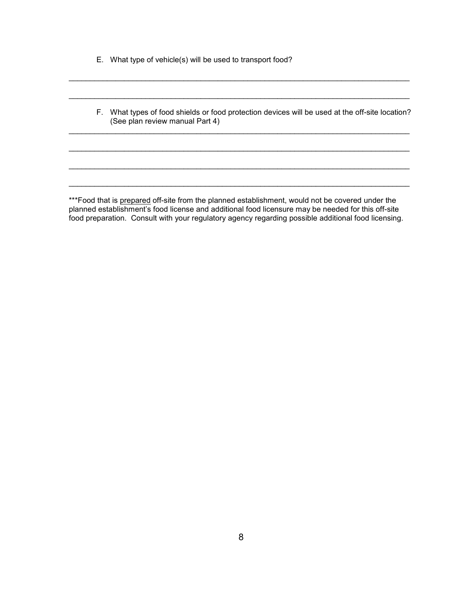- E. What type of vehicle(s) will be used to transport food?
- F. What types of food shields or food protection devices will be used at the off-site location? (See plan review manual Part 4)

\_\_\_\_\_\_\_\_\_\_\_\_\_\_\_\_\_\_\_\_\_\_\_\_\_\_\_\_\_\_\_\_\_\_\_\_\_\_\_\_\_\_\_\_\_\_\_\_\_\_\_\_\_\_\_\_\_\_\_\_\_\_\_\_\_\_\_\_\_\_\_\_\_\_\_\_\_\_\_\_

\_\_\_\_\_\_\_\_\_\_\_\_\_\_\_\_\_\_\_\_\_\_\_\_\_\_\_\_\_\_\_\_\_\_\_\_\_\_\_\_\_\_\_\_\_\_\_\_\_\_\_\_\_\_\_\_\_\_\_\_\_\_\_\_\_\_\_\_\_\_\_\_\_\_\_\_\_\_\_\_

\_\_\_\_\_\_\_\_\_\_\_\_\_\_\_\_\_\_\_\_\_\_\_\_\_\_\_\_\_\_\_\_\_\_\_\_\_\_\_\_\_\_\_\_\_\_\_\_\_\_\_\_\_\_\_\_\_\_\_\_\_\_\_\_\_\_\_\_\_\_\_\_\_\_\_\_\_\_\_\_

\_\_\_\_\_\_\_\_\_\_\_\_\_\_\_\_\_\_\_\_\_\_\_\_\_\_\_\_\_\_\_\_\_\_\_\_\_\_\_\_\_\_\_\_\_\_\_\_\_\_\_\_\_\_\_\_\_\_\_\_\_\_\_\_\_\_\_\_\_\_\_\_\_\_\_\_\_\_\_\_

\_\_\_\_\_\_\_\_\_\_\_\_\_\_\_\_\_\_\_\_\_\_\_\_\_\_\_\_\_\_\_\_\_\_\_\_\_\_\_\_\_\_\_\_\_\_\_\_\_\_\_\_\_\_\_\_\_\_\_\_\_\_\_\_\_\_\_\_\_\_\_\_\_\_\_\_\_\_\_\_

\_\_\_\_\_\_\_\_\_\_\_\_\_\_\_\_\_\_\_\_\_\_\_\_\_\_\_\_\_\_\_\_\_\_\_\_\_\_\_\_\_\_\_\_\_\_\_\_\_\_\_\_\_\_\_\_\_\_\_\_\_\_\_\_\_\_\_\_\_\_\_\_\_\_\_\_\_\_\_\_

\*\*\*Food that is prepared off-site from the planned establishment, would not be covered under the planned establishment's food license and additional food licensure may be needed for this off-site food preparation. Consult with your regulatory agency regarding possible additional food licensing.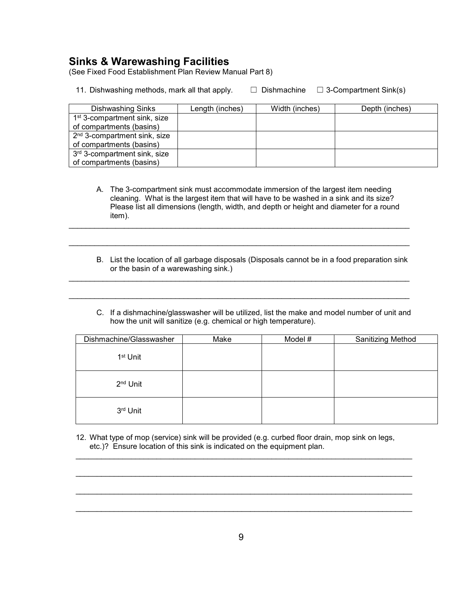## **Sinks & Warewashing Facilities**

(See Fixed Food Establishment Plan Review Manual Part 8)

11. Dishwashing methods, mark all that apply.  $\Box$  Dishmachine  $\Box$  3-Compartment Sink(s)

| <b>Dishwashing Sinks</b>                 | Length (inches) | Width (inches) | Depth (inches) |
|------------------------------------------|-----------------|----------------|----------------|
| 1 <sup>st</sup> 3-compartment sink, size |                 |                |                |
| of compartments (basins)                 |                 |                |                |
| 2 <sup>nd</sup> 3-compartment sink, size |                 |                |                |
| of compartments (basins)                 |                 |                |                |
| 3 <sup>rd</sup> 3-compartment sink, size |                 |                |                |
| of compartments (basins)                 |                 |                |                |

A. The 3-compartment sink must accommodate immersion of the largest item needing cleaning. What is the largest item that will have to be washed in a sink and its size? Please list all dimensions (length, width, and depth or height and diameter for a round item).

\_\_\_\_\_\_\_\_\_\_\_\_\_\_\_\_\_\_\_\_\_\_\_\_\_\_\_\_\_\_\_\_\_\_\_\_\_\_\_\_\_\_\_\_\_\_\_\_\_\_\_\_\_\_\_\_\_\_\_\_\_\_\_\_\_\_\_\_\_\_\_\_\_\_\_\_\_\_\_\_

\_\_\_\_\_\_\_\_\_\_\_\_\_\_\_\_\_\_\_\_\_\_\_\_\_\_\_\_\_\_\_\_\_\_\_\_\_\_\_\_\_\_\_\_\_\_\_\_\_\_\_\_\_\_\_\_\_\_\_\_\_\_\_\_\_\_\_\_\_\_\_\_\_\_\_\_\_\_\_\_

\_\_\_\_\_\_\_\_\_\_\_\_\_\_\_\_\_\_\_\_\_\_\_\_\_\_\_\_\_\_\_\_\_\_\_\_\_\_\_\_\_\_\_\_\_\_\_\_\_\_\_\_\_\_\_\_\_\_\_\_\_\_\_\_\_\_\_\_\_\_\_\_\_\_\_\_\_\_\_\_

\_\_\_\_\_\_\_\_\_\_\_\_\_\_\_\_\_\_\_\_\_\_\_\_\_\_\_\_\_\_\_\_\_\_\_\_\_\_\_\_\_\_\_\_\_\_\_\_\_\_\_\_\_\_\_\_\_\_\_\_\_\_\_\_\_\_\_\_\_\_\_\_\_\_\_\_\_\_\_\_

- B. List the location of all garbage disposals (Disposals cannot be in a food preparation sink or the basin of a warewashing sink.)
- C. If a dishmachine/glasswasher will be utilized, list the make and model number of unit and how the unit will sanitize (e.g. chemical or high temperature).

| Dishmachine/Glasswasher | Make | Model # | Sanitizing Method |
|-------------------------|------|---------|-------------------|
| 1 <sup>st</sup> Unit    |      |         |                   |
| 2 <sup>nd</sup> Unit    |      |         |                   |
| 3rd Unit                |      |         |                   |

12. What type of mop (service) sink will be provided (e.g. curbed floor drain, mop sink on legs, etc.)? Ensure location of this sink is indicated on the equipment plan.

\_\_\_\_\_\_\_\_\_\_\_\_\_\_\_\_\_\_\_\_\_\_\_\_\_\_\_\_\_\_\_\_\_\_\_\_\_\_\_\_\_\_\_\_\_\_\_\_\_\_\_\_\_\_\_\_\_\_\_\_\_\_\_\_\_\_\_\_\_\_\_\_\_\_\_\_\_\_\_

\_\_\_\_\_\_\_\_\_\_\_\_\_\_\_\_\_\_\_\_\_\_\_\_\_\_\_\_\_\_\_\_\_\_\_\_\_\_\_\_\_\_\_\_\_\_\_\_\_\_\_\_\_\_\_\_\_\_\_\_\_\_\_\_\_\_\_\_\_\_\_\_\_\_\_\_\_\_\_

\_\_\_\_\_\_\_\_\_\_\_\_\_\_\_\_\_\_\_\_\_\_\_\_\_\_\_\_\_\_\_\_\_\_\_\_\_\_\_\_\_\_\_\_\_\_\_\_\_\_\_\_\_\_\_\_\_\_\_\_\_\_\_\_\_\_\_\_\_\_\_\_\_\_\_\_\_\_\_

\_\_\_\_\_\_\_\_\_\_\_\_\_\_\_\_\_\_\_\_\_\_\_\_\_\_\_\_\_\_\_\_\_\_\_\_\_\_\_\_\_\_\_\_\_\_\_\_\_\_\_\_\_\_\_\_\_\_\_\_\_\_\_\_\_\_\_\_\_\_\_\_\_\_\_\_\_\_\_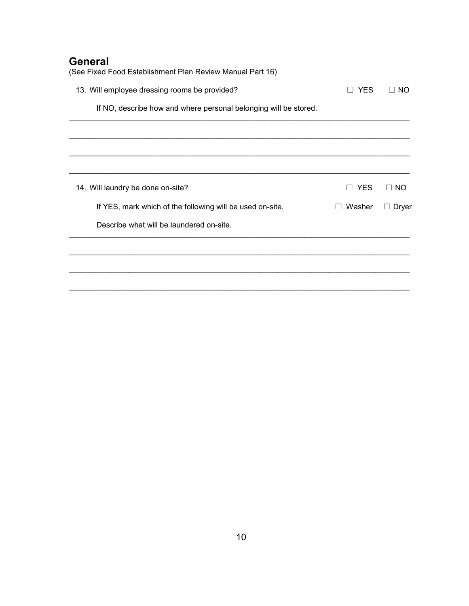# **General**

| (See Fixed Food Establishment Plan Review Manual Part 16)        |                   |              |
|------------------------------------------------------------------|-------------------|--------------|
| 13. Will employee dressing rooms be provided?                    | <b>YES</b>        | NO.          |
| If NO, describe how and where personal belonging will be stored. |                   |              |
|                                                                  |                   |              |
|                                                                  |                   |              |
|                                                                  |                   |              |
| 14. Will laundry be done on-site?                                | <b>YES</b><br>- 1 | $\Box$ NO    |
| If YES, mark which of the following will be used on-site.        | Washer<br>$\perp$ | $\Box$ Dryer |
| Describe what will be laundered on-site.                         |                   |              |
|                                                                  |                   |              |
|                                                                  |                   |              |
|                                                                  |                   |              |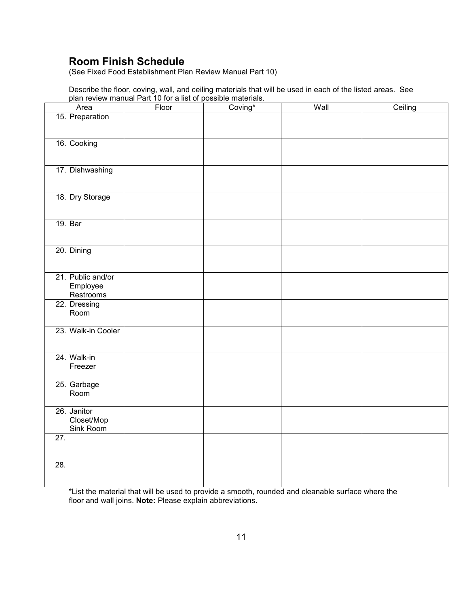# **Room Finish Schedule**

(See Fixed Food Establishment Plan Review Manual Part 10)

Describe the floor, coving, wall, and ceiling materials that will be used in each of the listed areas. See plan review manual Part 10 for a list of possible materials.

| Area                    | Floor | Coving* | Wall | Ceiling |
|-------------------------|-------|---------|------|---------|
| 15. Preparation         |       |         |      |         |
|                         |       |         |      |         |
| 16. Cooking             |       |         |      |         |
|                         |       |         |      |         |
| 17. Dishwashing         |       |         |      |         |
|                         |       |         |      |         |
| 18. Dry Storage         |       |         |      |         |
|                         |       |         |      |         |
| 19. Bar                 |       |         |      |         |
|                         |       |         |      |         |
| 20. Dining              |       |         |      |         |
|                         |       |         |      |         |
| 21. Public and/or       |       |         |      |         |
| Employee<br>Restrooms   |       |         |      |         |
| 22. Dressing            |       |         |      |         |
| Room                    |       |         |      |         |
| 23. Walk-in Cooler      |       |         |      |         |
|                         |       |         |      |         |
| 24. Walk-in             |       |         |      |         |
| Freezer                 |       |         |      |         |
| 25. Garbage<br>Room     |       |         |      |         |
|                         |       |         |      |         |
| 26. Janitor             |       |         |      |         |
| Closet/Mop<br>Sink Room |       |         |      |         |
| $\overline{27}$ .       |       |         |      |         |
|                         |       |         |      |         |
| 28.                     |       |         |      |         |
|                         |       |         |      |         |

\*List the material that will be used to provide a smooth, rounded and cleanable surface where the floor and wall joins. **Note:** Please explain abbreviations.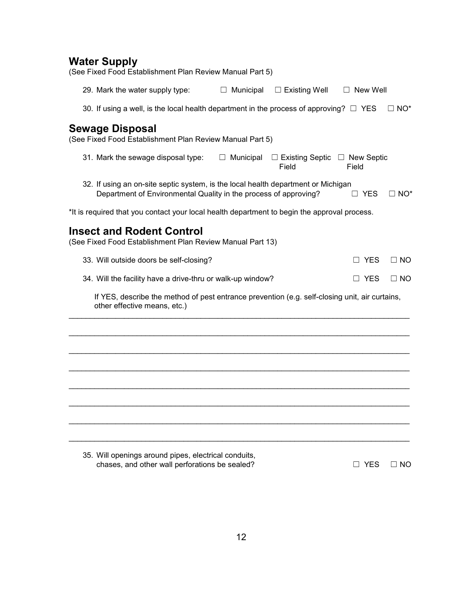# **Water Supply**

| (See Fixed Food Establishment Plan Review Manual Part 5)                                                                                              |                  |                                 |                            |              |
|-------------------------------------------------------------------------------------------------------------------------------------------------------|------------------|---------------------------------|----------------------------|--------------|
| 29. Mark the water supply type:                                                                                                                       | $\Box$ Municipal | $\Box$ Existing Well            | $\Box$ New Well            |              |
| 30. If using a well, is the local health department in the process of approving? $\square$ YES                                                        |                  |                                 |                            | $\Box$ NO*   |
| <b>Sewage Disposal</b><br>(See Fixed Food Establishment Plan Review Manual Part 5)                                                                    |                  |                                 |                            |              |
| 31. Mark the sewage disposal type:                                                                                                                    | Municipal<br>⊔   | $\Box$ Existing Septic<br>Field | $\Box$ New Septic<br>Field |              |
| 32. If using an on-site septic system, is the local health department or Michigan<br>Department of Environmental Quality in the process of approving? |                  |                                 | $\Box$ YES                 | $\Box$ NO*   |
| *It is required that you contact your local health department to begin the approval process.                                                          |                  |                                 |                            |              |
| <b>Insect and Rodent Control</b><br>(See Fixed Food Establishment Plan Review Manual Part 13)                                                         |                  |                                 |                            |              |
| 33. Will outside doors be self-closing?                                                                                                               |                  |                                 | YES                        | $\square$ NO |
| 34. Will the facility have a drive-thru or walk-up window?                                                                                            |                  |                                 | YES                        | $\Box$ NO    |
| If YES, describe the method of pest entrance prevention (e.g. self-closing unit, air curtains,<br>other effective means, etc.)                        |                  |                                 |                            |              |
|                                                                                                                                                       |                  |                                 |                            |              |
|                                                                                                                                                       |                  |                                 |                            |              |
|                                                                                                                                                       |                  |                                 |                            |              |
|                                                                                                                                                       |                  |                                 |                            |              |
|                                                                                                                                                       |                  |                                 |                            |              |
|                                                                                                                                                       |                  |                                 |                            |              |
|                                                                                                                                                       |                  |                                 |                            |              |
| 35. Will openings around pipes, electrical conduits,<br>chases, and other wall perforations be sealed?                                                |                  |                                 | <b>YES</b>                 | $\Box$ NO    |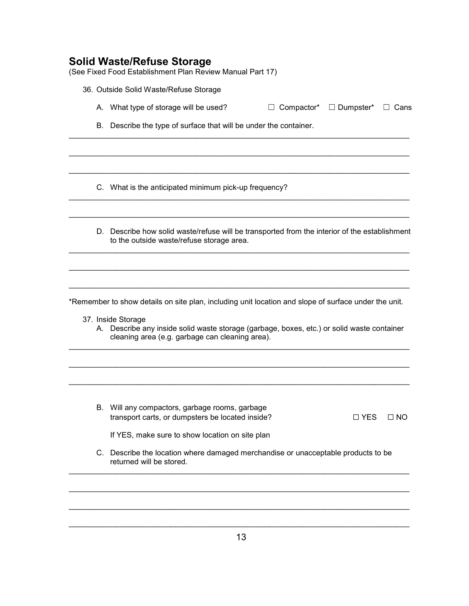## **Solid Waste/Refuse Storage**

(See Fixed Food Establishment Plan Review Manual Part 17)

- 36. Outside Solid Waste/Refuse Storage
	- A. What type of storage will be used?  $\Box$  Compactor\*  $\Box$  Dumpster\*  $\Box$  Cans

\_\_\_\_\_\_\_\_\_\_\_\_\_\_\_\_\_\_\_\_\_\_\_\_\_\_\_\_\_\_\_\_\_\_\_\_\_\_\_\_\_\_\_\_\_\_\_\_\_\_\_\_\_\_\_\_\_\_\_\_\_\_\_\_\_\_\_\_\_\_\_\_\_\_\_\_\_\_\_\_

\_\_\_\_\_\_\_\_\_\_\_\_\_\_\_\_\_\_\_\_\_\_\_\_\_\_\_\_\_\_\_\_\_\_\_\_\_\_\_\_\_\_\_\_\_\_\_\_\_\_\_\_\_\_\_\_\_\_\_\_\_\_\_\_\_\_\_\_\_\_\_\_\_\_\_\_\_\_\_\_

\_\_\_\_\_\_\_\_\_\_\_\_\_\_\_\_\_\_\_\_\_\_\_\_\_\_\_\_\_\_\_\_\_\_\_\_\_\_\_\_\_\_\_\_\_\_\_\_\_\_\_\_\_\_\_\_\_\_\_\_\_\_\_\_\_\_\_\_\_\_\_\_\_\_\_\_\_\_\_\_

\_\_\_\_\_\_\_\_\_\_\_\_\_\_\_\_\_\_\_\_\_\_\_\_\_\_\_\_\_\_\_\_\_\_\_\_\_\_\_\_\_\_\_\_\_\_\_\_\_\_\_\_\_\_\_\_\_\_\_\_\_\_\_\_\_\_\_\_\_\_\_\_\_\_\_\_\_\_\_\_

\_\_\_\_\_\_\_\_\_\_\_\_\_\_\_\_\_\_\_\_\_\_\_\_\_\_\_\_\_\_\_\_\_\_\_\_\_\_\_\_\_\_\_\_\_\_\_\_\_\_\_\_\_\_\_\_\_\_\_\_\_\_\_\_\_\_\_\_\_\_\_\_\_\_\_\_\_\_\_\_

\_\_\_\_\_\_\_\_\_\_\_\_\_\_\_\_\_\_\_\_\_\_\_\_\_\_\_\_\_\_\_\_\_\_\_\_\_\_\_\_\_\_\_\_\_\_\_\_\_\_\_\_\_\_\_\_\_\_\_\_\_\_\_\_\_\_\_\_\_\_\_\_\_\_\_\_\_\_\_\_

\_\_\_\_\_\_\_\_\_\_\_\_\_\_\_\_\_\_\_\_\_\_\_\_\_\_\_\_\_\_\_\_\_\_\_\_\_\_\_\_\_\_\_\_\_\_\_\_\_\_\_\_\_\_\_\_\_\_\_\_\_\_\_\_\_\_\_\_\_\_\_\_\_\_\_\_\_\_\_\_

\_\_\_\_\_\_\_\_\_\_\_\_\_\_\_\_\_\_\_\_\_\_\_\_\_\_\_\_\_\_\_\_\_\_\_\_\_\_\_\_\_\_\_\_\_\_\_\_\_\_\_\_\_\_\_\_\_\_\_\_\_\_\_\_\_\_\_\_\_\_\_\_\_\_\_\_\_\_\_\_

B. Describe the type of surface that will be under the container.

C. What is the anticipated minimum pick-up frequency?

D. Describe how solid waste/refuse will be transported from the interior of the establishment to the outside waste/refuse storage area.

\*Remember to show details on site plan, including unit location and slope of surface under the unit.

\_\_\_\_\_\_\_\_\_\_\_\_\_\_\_\_\_\_\_\_\_\_\_\_\_\_\_\_\_\_\_\_\_\_\_\_\_\_\_\_\_\_\_\_\_\_\_\_\_\_\_\_\_\_\_\_\_\_\_\_\_\_\_\_\_\_\_\_\_\_\_\_\_\_\_\_\_\_\_\_

\_\_\_\_\_\_\_\_\_\_\_\_\_\_\_\_\_\_\_\_\_\_\_\_\_\_\_\_\_\_\_\_\_\_\_\_\_\_\_\_\_\_\_\_\_\_\_\_\_\_\_\_\_\_\_\_\_\_\_\_\_\_\_\_\_\_\_\_\_\_\_\_\_\_\_\_\_\_\_\_

\_\_\_\_\_\_\_\_\_\_\_\_\_\_\_\_\_\_\_\_\_\_\_\_\_\_\_\_\_\_\_\_\_\_\_\_\_\_\_\_\_\_\_\_\_\_\_\_\_\_\_\_\_\_\_\_\_\_\_\_\_\_\_\_\_\_\_\_\_\_\_\_\_\_\_\_\_\_\_\_

- 37. Inside Storage
	- A. Describe any inside solid waste storage (garbage, boxes, etc.) or solid waste container cleaning area (e.g. garbage can cleaning area).

B. Will any compactors, garbage rooms, garbage transport carts, or dumpsters be located inside? □ □ YES □ NO

If YES, make sure to show location on site plan

C. Describe the location where damaged merchandise or unacceptable products to be returned will be stored.

\_\_\_\_\_\_\_\_\_\_\_\_\_\_\_\_\_\_\_\_\_\_\_\_\_\_\_\_\_\_\_\_\_\_\_\_\_\_\_\_\_\_\_\_\_\_\_\_\_\_\_\_\_\_\_\_\_\_\_\_\_\_\_\_\_\_\_\_\_\_\_\_\_\_\_\_\_\_\_\_

\_\_\_\_\_\_\_\_\_\_\_\_\_\_\_\_\_\_\_\_\_\_\_\_\_\_\_\_\_\_\_\_\_\_\_\_\_\_\_\_\_\_\_\_\_\_\_\_\_\_\_\_\_\_\_\_\_\_\_\_\_\_\_\_\_\_\_\_\_\_\_\_\_\_\_\_\_\_\_\_

\_\_\_\_\_\_\_\_\_\_\_\_\_\_\_\_\_\_\_\_\_\_\_\_\_\_\_\_\_\_\_\_\_\_\_\_\_\_\_\_\_\_\_\_\_\_\_\_\_\_\_\_\_\_\_\_\_\_\_\_\_\_\_\_\_\_\_\_\_\_\_\_\_\_\_\_\_\_\_\_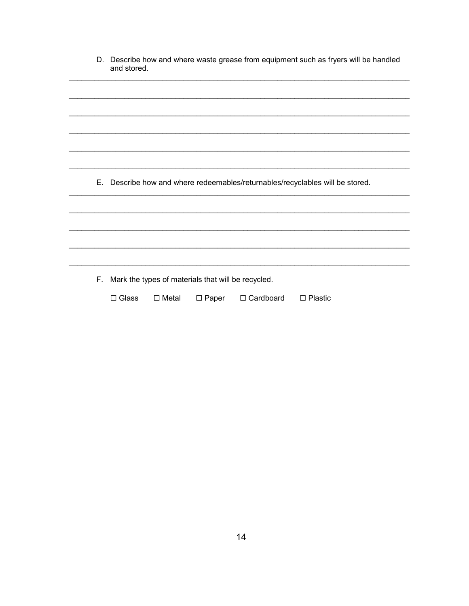| D. Describe how and where waste grease from equipment such as fryers will be handled |
|--------------------------------------------------------------------------------------|
| and stored.                                                                          |

E. Describe how and where redeemables/returnables/recyclables will be stored.

F. Mark the types of materials that will be recycled.

 $\square$  Glass  $\square$  Metal  $\square$  Paper □ Cardboard  $\square$  Plastic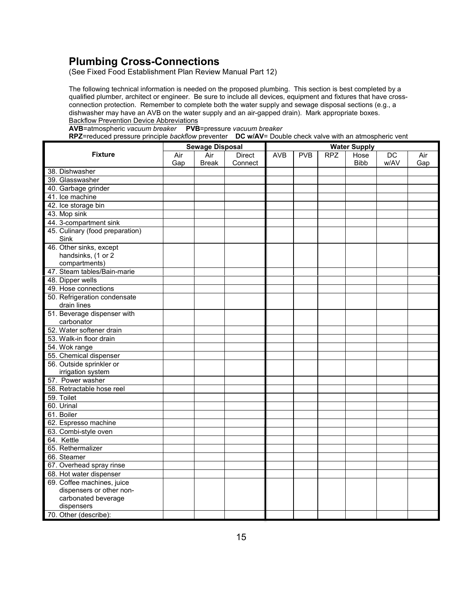## **Plumbing Cross-Connections**

(See Fixed Food Establishment Plan Review Manual Part 12)

The following technical information is needed on the proposed plumbing. This section is best completed by a qualified plumber, architect or engineer. Be sure to include all devices, equipment and fixtures that have crossconnection protection. Remember to complete both the water supply and sewage disposal sections (e.g., a dishwasher may have an AVB on the water supply and an air-gapped drain). Mark appropriate boxes. Backflow Prevention Device Abbreviations

**AVB**=atmospheric *vacuum breaker* **PVB**=pressure *vacuum breaker*

**RPZ**=reduced pressure principle *backflow* preventer **DC w/AV**= Double check valve with an atmospheric vent

|                                                                | <b>Sewage Disposal</b> |              | <b>Water Supply</b> |            |            |            |             |      |     |
|----------------------------------------------------------------|------------------------|--------------|---------------------|------------|------------|------------|-------------|------|-----|
| <b>Fixture</b>                                                 | Air                    | Air          | <b>Direct</b>       | <b>AVB</b> | <b>PVB</b> | <b>RPZ</b> | Hose        | DC   | Air |
|                                                                | Gap                    | <b>Break</b> | Connect             |            |            |            | <b>Bibb</b> | w/AV | Gap |
| 38. Dishwasher                                                 |                        |              |                     |            |            |            |             |      |     |
| 39. Glasswasher                                                |                        |              |                     |            |            |            |             |      |     |
| 40. Garbage grinder                                            |                        |              |                     |            |            |            |             |      |     |
| 41. Ice machine                                                |                        |              |                     |            |            |            |             |      |     |
| 42. Ice storage bin                                            |                        |              |                     |            |            |            |             |      |     |
| 43. Mop sink                                                   |                        |              |                     |            |            |            |             |      |     |
| 44. 3-compartment sink                                         |                        |              |                     |            |            |            |             |      |     |
| 45. Culinary (food preparation)<br>Sink                        |                        |              |                     |            |            |            |             |      |     |
| 46. Other sinks, except<br>handsinks, (1 or 2<br>compartments) |                        |              |                     |            |            |            |             |      |     |
| 47. Steam tables/Bain-marie                                    |                        |              |                     |            |            |            |             |      |     |
| 48. Dipper wells                                               |                        |              |                     |            |            |            |             |      |     |
| 49. Hose connections                                           |                        |              |                     |            |            |            |             |      |     |
| 50. Refrigeration condensate                                   |                        |              |                     |            |            |            |             |      |     |
| drain lines<br>51. Beverage dispenser with                     |                        |              |                     |            |            |            |             |      |     |
| carbonator                                                     |                        |              |                     |            |            |            |             |      |     |
| 52. Water softener drain                                       |                        |              |                     |            |            |            |             |      |     |
| 53. Walk-in floor drain                                        |                        |              |                     |            |            |            |             |      |     |
| 54. Wok range                                                  |                        |              |                     |            |            |            |             |      |     |
| 55. Chemical dispenser                                         |                        |              |                     |            |            |            |             |      |     |
| 56. Outside sprinkler or<br>irrigation system                  |                        |              |                     |            |            |            |             |      |     |
| 57. Power washer                                               |                        |              |                     |            |            |            |             |      |     |
| 58. Retractable hose reel                                      |                        |              |                     |            |            |            |             |      |     |
| 59. Toilet                                                     |                        |              |                     |            |            |            |             |      |     |
| 60. Urinal                                                     |                        |              |                     |            |            |            |             |      |     |
| 61. Boiler                                                     |                        |              |                     |            |            |            |             |      |     |
| 62. Espresso machine                                           |                        |              |                     |            |            |            |             |      |     |
| 63. Combi-style oven                                           |                        |              |                     |            |            |            |             |      |     |
| 64. Kettle                                                     |                        |              |                     |            |            |            |             |      |     |
| 65. Rethermalizer                                              |                        |              |                     |            |            |            |             |      |     |
| 66. Steamer                                                    |                        |              |                     |            |            |            |             |      |     |
| 67. Overhead spray rinse                                       |                        |              |                     |            |            |            |             |      |     |
| 68. Hot water dispenser                                        |                        |              |                     |            |            |            |             |      |     |
| 69. Coffee machines, juice<br>dispensers or other non-         |                        |              |                     |            |            |            |             |      |     |
| carbonated beverage                                            |                        |              |                     |            |            |            |             |      |     |
| dispensers                                                     |                        |              |                     |            |            |            |             |      |     |
| 70. Other (describe):                                          |                        |              |                     |            |            |            |             |      |     |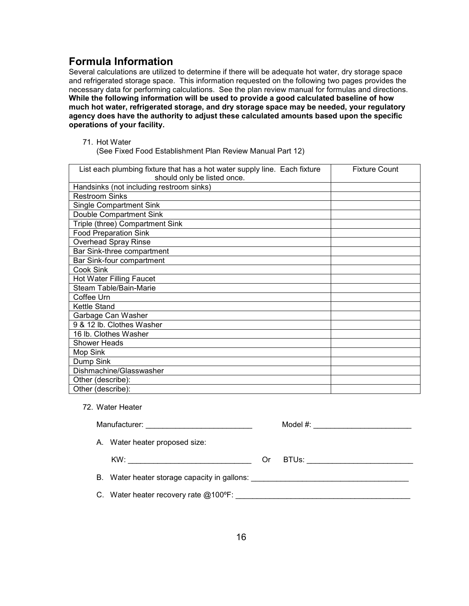## **Formula Information**

Several calculations are utilized to determine if there will be adequate hot water, dry storage space and refrigerated storage space. This information requested on the following two pages provides the necessary data for performing calculations. See the plan review manual for formulas and directions. **While the following information will be used to provide a good calculated baseline of how much hot water, refrigerated storage, and dry storage space may be needed, your regulatory agency does have the authority to adjust these calculated amounts based upon the specific operations of your facility.** 

71. Hot Water

(See Fixed Food Establishment Plan Review Manual Part 12)

| List each plumbing fixture that has a hot water supply line. Each fixture | <b>Fixture Count</b> |
|---------------------------------------------------------------------------|----------------------|
| should only be listed once.                                               |                      |
| Handsinks (not including restroom sinks)                                  |                      |
| <b>Restroom Sinks</b>                                                     |                      |
| <b>Single Compartment Sink</b>                                            |                      |
| Double Compartment Sink                                                   |                      |
| Triple (three) Compartment Sink                                           |                      |
| <b>Food Preparation Sink</b>                                              |                      |
| <b>Overhead Spray Rinse</b>                                               |                      |
| Bar Sink-three compartment                                                |                      |
| Bar Sink-four compartment                                                 |                      |
| Cook Sink                                                                 |                      |
| <b>Hot Water Filling Faucet</b>                                           |                      |
| Steam Table/Bain-Marie                                                    |                      |
| Coffee Urn                                                                |                      |
| Kettle Stand                                                              |                      |
| Garbage Can Washer                                                        |                      |
| 9 & 12 lb. Clothes Washer                                                 |                      |
| 16 lb. Clothes Washer                                                     |                      |
| <b>Shower Heads</b>                                                       |                      |
| Mop Sink                                                                  |                      |
| Dump Sink                                                                 |                      |
| Dishmachine/Glasswasher                                                   |                      |
| Other (describe):                                                         |                      |
| Other (describe):                                                         |                      |

72. Water Heater

|                                                                                  |    | Model #: __________________________ |
|----------------------------------------------------------------------------------|----|-------------------------------------|
| A. Water heater proposed size:                                                   |    |                                     |
|                                                                                  | Or |                                     |
| B. Water heater storage capacity in gallons: ___________________________________ |    |                                     |
| C. Water heater recovery rate @100°F:                                            |    |                                     |
|                                                                                  |    |                                     |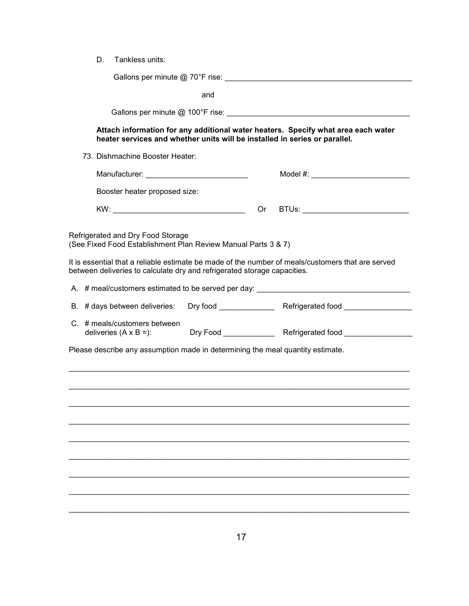| Gallons per minute @ 70°F rise:<br>______________ |
|---------------------------------------------------|
|---------------------------------------------------|

and

Gallons per minute @ 100°F rise: \_\_\_\_\_\_\_\_\_\_\_\_\_\_\_\_\_\_\_\_\_\_\_\_\_\_\_\_\_\_\_\_\_\_\_\_\_\_\_\_\_\_\_

#### **Attach information for any additional water heaters. Specify what area each water heater services and whether units will be installed in series or parallel.**

73. Dishmachine Booster Heater:

| Manufacturer:                 |        | Model #: |
|-------------------------------|--------|----------|
| Booster heater proposed size: |        |          |
| KW:                           | $($ )r | BTUs:    |

Refrigerated and Dry Food Storage

(See Fixed Food Establishment Plan Review Manual Parts 3 & 7)

It is essential that a reliable estimate be made of the number of meals/customers that are served between deliveries to calculate dry and refrigerated storage capacities.

| A. # meal/customers estimated to be served per day:                            |  |                                                                                        |  |  |
|--------------------------------------------------------------------------------|--|----------------------------------------------------------------------------------------|--|--|
|                                                                                |  | B. # days between deliveries: Dry food ______________ Refrigerated food ______________ |  |  |
| $C.$ # meals/customers between                                                 |  |                                                                                        |  |  |
| Please describe any assumption made in determining the meal quantity estimate. |  |                                                                                        |  |  |
|                                                                                |  |                                                                                        |  |  |
|                                                                                |  |                                                                                        |  |  |
|                                                                                |  |                                                                                        |  |  |
|                                                                                |  |                                                                                        |  |  |
|                                                                                |  |                                                                                        |  |  |
|                                                                                |  |                                                                                        |  |  |
|                                                                                |  |                                                                                        |  |  |

\_\_\_\_\_\_\_\_\_\_\_\_\_\_\_\_\_\_\_\_\_\_\_\_\_\_\_\_\_\_\_\_\_\_\_\_\_\_\_\_\_\_\_\_\_\_\_\_\_\_\_\_\_\_\_\_\_\_\_\_\_\_\_\_\_\_\_\_\_\_\_\_\_\_\_\_\_\_\_\_

\_\_\_\_\_\_\_\_\_\_\_\_\_\_\_\_\_\_\_\_\_\_\_\_\_\_\_\_\_\_\_\_\_\_\_\_\_\_\_\_\_\_\_\_\_\_\_\_\_\_\_\_\_\_\_\_\_\_\_\_\_\_\_\_\_\_\_\_\_\_\_\_\_\_\_\_\_\_\_\_

\_\_\_\_\_\_\_\_\_\_\_\_\_\_\_\_\_\_\_\_\_\_\_\_\_\_\_\_\_\_\_\_\_\_\_\_\_\_\_\_\_\_\_\_\_\_\_\_\_\_\_\_\_\_\_\_\_\_\_\_\_\_\_\_\_\_\_\_\_\_\_\_\_\_\_\_\_\_\_\_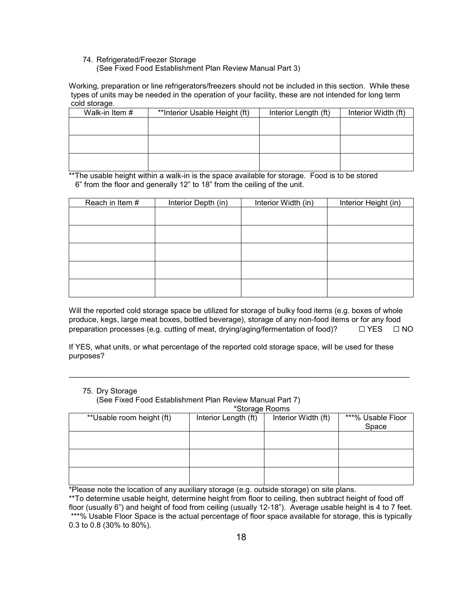#### 74. Refrigerated/Freezer Storage (See Fixed Food Establishment Plan Review Manual Part 3)

Working, preparation or line refrigerators/freezers should not be included in this section. While these types of units may be needed in the operation of your facility, these are not intended for long term cold storage.

| Walk-in Item # | **Interior Usable Height (ft) | Interior Length (ft) | Interior Width (ft) |
|----------------|-------------------------------|----------------------|---------------------|
|                |                               |                      |                     |
|                |                               |                      |                     |
|                |                               |                      |                     |
|                |                               |                      |                     |
|                |                               |                      |                     |
|                |                               |                      |                     |

\*\*The usable height within a walk-in is the space available for storage. Food is to be stored 6" from the floor and generally 12" to 18" from the ceiling of the unit.

| Reach in Item # | Interior Depth (in) | Interior Width (in) | Interior Height (in) |
|-----------------|---------------------|---------------------|----------------------|
|                 |                     |                     |                      |
|                 |                     |                     |                      |
|                 |                     |                     |                      |
|                 |                     |                     |                      |
|                 |                     |                     |                      |
|                 |                     |                     |                      |
|                 |                     |                     |                      |
|                 |                     |                     |                      |
|                 |                     |                     |                      |
|                 |                     |                     |                      |

Will the reported cold storage space be utilized for storage of bulky food items (e.g. boxes of whole produce, kegs, large meat boxes, bottled beverage), storage of any non-food items or for any food preparation processes (e.g. cutting of meat, drying/aging/fermentation of food)?  $□$  YES  $□$  NO

If YES, what units, or what percentage of the reported cold storage space, will be used for these purposes?

\_\_\_\_\_\_\_\_\_\_\_\_\_\_\_\_\_\_\_\_\_\_\_\_\_\_\_\_\_\_\_\_\_\_\_\_\_\_\_\_\_\_\_\_\_\_\_\_\_\_\_\_\_\_\_\_\_\_\_\_\_\_\_\_\_\_\_\_\_\_\_\_\_\_\_\_\_\_\_\_

#### 75. Dry Storage

(See Fixed Food Establishment Plan Review Manual Part 7)

\*Storage Rooms

| <b>UNIQUE INVOITS</b>     |                      |                     |                   |  |  |
|---------------------------|----------------------|---------------------|-------------------|--|--|
| **Usable room height (ft) | Interior Length (ft) | Interior Width (ft) | ***% Usable Floor |  |  |
|                           |                      |                     | Space             |  |  |
|                           |                      |                     |                   |  |  |
|                           |                      |                     |                   |  |  |
|                           |                      |                     |                   |  |  |
|                           |                      |                     |                   |  |  |
|                           |                      |                     |                   |  |  |
|                           |                      |                     |                   |  |  |

\*Please note the location of any auxiliary storage (e.g. outside storage) on site plans.

\*\*To determine usable height, determine height from floor to ceiling, then subtract height of food off floor (usually 6") and height of food from ceiling (usually 12-18"). Average usable height is 4 to 7 feet. \*\*\*% Usable Floor Space is the actual percentage of floor space available for storage, this is typically 0.3 to 0.8 (30% to 80%).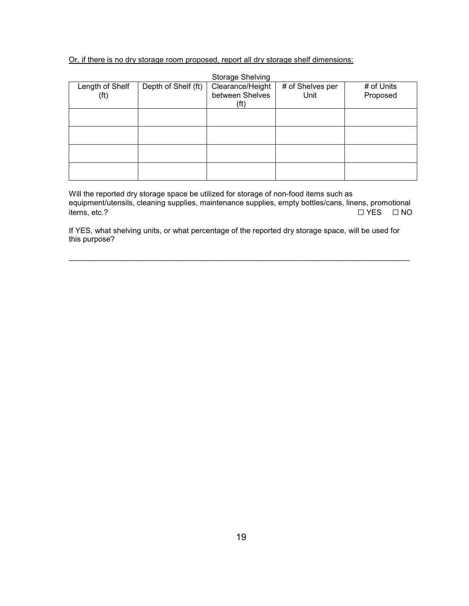Or, if there is no dry storage room proposed, report all dry storage shelf dimensions:

|                                      |                     | <b>Storage Shelving</b>                     |                          |                        |
|--------------------------------------|---------------------|---------------------------------------------|--------------------------|------------------------|
| Length of Shelf<br>(f <sup>t</sup> ) | Depth of Shelf (ft) | Clearance/Height<br>between Shelves<br>(ft) | # of Shelves per<br>Unit | # of Units<br>Proposed |
|                                      |                     |                                             |                          |                        |
|                                      |                     |                                             |                          |                        |
|                                      |                     |                                             |                          |                        |
|                                      |                     |                                             |                          |                        |

Will the reported dry storage space be utilized for storage of non-food items such as equipment/utensils, cleaning supplies, maintenance supplies, empty bottles/cans, linens, promotional items, etc.? ☐ YES ☐ NO

If YES, what shelving units, or what percentage of the reported dry storage space, will be used for this purpose?

\_\_\_\_\_\_\_\_\_\_\_\_\_\_\_\_\_\_\_\_\_\_\_\_\_\_\_\_\_\_\_\_\_\_\_\_\_\_\_\_\_\_\_\_\_\_\_\_\_\_\_\_\_\_\_\_\_\_\_\_\_\_\_\_\_\_\_\_\_\_\_\_\_\_\_\_\_\_\_\_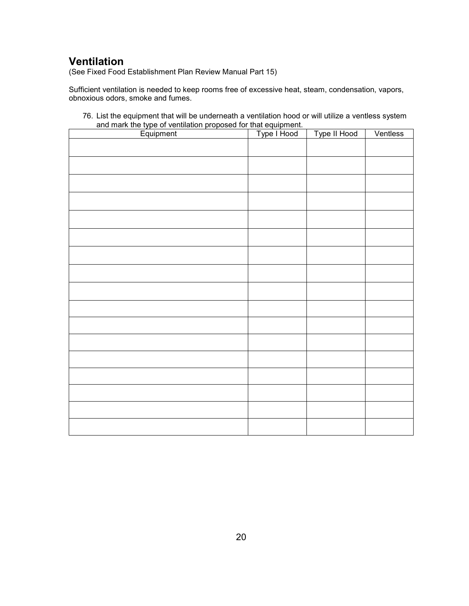# **Ventilation**

(See Fixed Food Establishment Plan Review Manual Part 15)

Sufficient ventilation is needed to keep rooms free of excessive heat, steam, condensation, vapors, obnoxious odors, smoke and fumes.

| 76. List the equipment that will be underneath a ventilation hood or will utilize a ventless system |  |
|-----------------------------------------------------------------------------------------------------|--|
| and mark the type of ventilation proposed for that equipment.                                       |  |

| Equipment | Type I Hood | Type II Hood | Ventless |
|-----------|-------------|--------------|----------|
|           |             |              |          |
|           |             |              |          |
|           |             |              |          |
|           |             |              |          |
|           |             |              |          |
|           |             |              |          |
|           |             |              |          |
|           |             |              |          |
|           |             |              |          |
|           |             |              |          |
|           |             |              |          |
|           |             |              |          |
|           |             |              |          |
|           |             |              |          |
|           |             |              |          |
|           |             |              |          |
|           |             |              |          |
|           |             |              |          |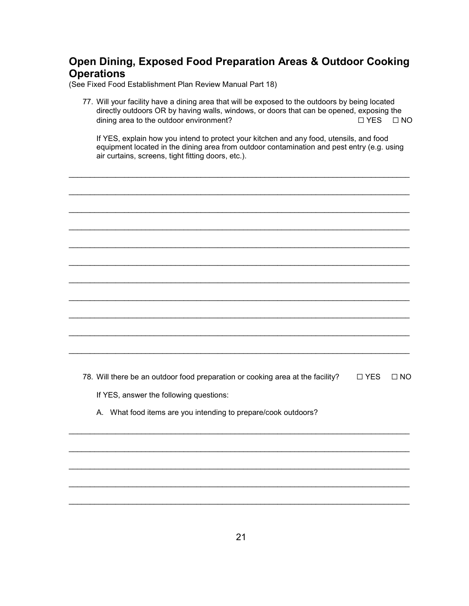## **Open Dining, Exposed Food Preparation Areas & Outdoor Cooking Operations**

(See Fixed Food Establishment Plan Review Manual Part 18)

77. Will your facility have a dining area that will be exposed to the outdoors by being located directly outdoors OR by having walls, windows, or doors that can be opened, exposing the dining area to the outdoor environment? ☐ YES ☐ NO

If YES, explain how you intend to protect your kitchen and any food, utensils, and food equipment located in the dining area from outdoor contamination and pest entry (e.g. using air curtains, screens, tight fitting doors, etc.).

\_\_\_\_\_\_\_\_\_\_\_\_\_\_\_\_\_\_\_\_\_\_\_\_\_\_\_\_\_\_\_\_\_\_\_\_\_\_\_\_\_\_\_\_\_\_\_\_\_\_\_\_\_\_\_\_\_\_\_\_\_\_\_\_\_\_\_\_\_\_\_\_\_\_\_\_\_\_\_\_

\_\_\_\_\_\_\_\_\_\_\_\_\_\_\_\_\_\_\_\_\_\_\_\_\_\_\_\_\_\_\_\_\_\_\_\_\_\_\_\_\_\_\_\_\_\_\_\_\_\_\_\_\_\_\_\_\_\_\_\_\_\_\_\_\_\_\_\_\_\_\_\_\_\_\_\_\_\_\_\_

\_\_\_\_\_\_\_\_\_\_\_\_\_\_\_\_\_\_\_\_\_\_\_\_\_\_\_\_\_\_\_\_\_\_\_\_\_\_\_\_\_\_\_\_\_\_\_\_\_\_\_\_\_\_\_\_\_\_\_\_\_\_\_\_\_\_\_\_\_\_\_\_\_\_\_\_\_\_\_\_

\_\_\_\_\_\_\_\_\_\_\_\_\_\_\_\_\_\_\_\_\_\_\_\_\_\_\_\_\_\_\_\_\_\_\_\_\_\_\_\_\_\_\_\_\_\_\_\_\_\_\_\_\_\_\_\_\_\_\_\_\_\_\_\_\_\_\_\_\_\_\_\_\_\_\_\_\_\_\_\_

\_\_\_\_\_\_\_\_\_\_\_\_\_\_\_\_\_\_\_\_\_\_\_\_\_\_\_\_\_\_\_\_\_\_\_\_\_\_\_\_\_\_\_\_\_\_\_\_\_\_\_\_\_\_\_\_\_\_\_\_\_\_\_\_\_\_\_\_\_\_\_\_\_\_\_\_\_\_\_\_

\_\_\_\_\_\_\_\_\_\_\_\_\_\_\_\_\_\_\_\_\_\_\_\_\_\_\_\_\_\_\_\_\_\_\_\_\_\_\_\_\_\_\_\_\_\_\_\_\_\_\_\_\_\_\_\_\_\_\_\_\_\_\_\_\_\_\_\_\_\_\_\_\_\_\_\_\_\_\_\_

\_\_\_\_\_\_\_\_\_\_\_\_\_\_\_\_\_\_\_\_\_\_\_\_\_\_\_\_\_\_\_\_\_\_\_\_\_\_\_\_\_\_\_\_\_\_\_\_\_\_\_\_\_\_\_\_\_\_\_\_\_\_\_\_\_\_\_\_\_\_\_\_\_\_\_\_\_\_\_\_

\_\_\_\_\_\_\_\_\_\_\_\_\_\_\_\_\_\_\_\_\_\_\_\_\_\_\_\_\_\_\_\_\_\_\_\_\_\_\_\_\_\_\_\_\_\_\_\_\_\_\_\_\_\_\_\_\_\_\_\_\_\_\_\_\_\_\_\_\_\_\_\_\_\_\_\_\_\_\_\_

\_\_\_\_\_\_\_\_\_\_\_\_\_\_\_\_\_\_\_\_\_\_\_\_\_\_\_\_\_\_\_\_\_\_\_\_\_\_\_\_\_\_\_\_\_\_\_\_\_\_\_\_\_\_\_\_\_\_\_\_\_\_\_\_\_\_\_\_\_\_\_\_\_\_\_\_\_\_\_\_

\_\_\_\_\_\_\_\_\_\_\_\_\_\_\_\_\_\_\_\_\_\_\_\_\_\_\_\_\_\_\_\_\_\_\_\_\_\_\_\_\_\_\_\_\_\_\_\_\_\_\_\_\_\_\_\_\_\_\_\_\_\_\_\_\_\_\_\_\_\_\_\_\_\_\_\_\_\_\_\_

\_\_\_\_\_\_\_\_\_\_\_\_\_\_\_\_\_\_\_\_\_\_\_\_\_\_\_\_\_\_\_\_\_\_\_\_\_\_\_\_\_\_\_\_\_\_\_\_\_\_\_\_\_\_\_\_\_\_\_\_\_\_\_\_\_\_\_\_\_\_\_\_\_\_\_\_\_\_\_\_

\_\_\_\_\_\_\_\_\_\_\_\_\_\_\_\_\_\_\_\_\_\_\_\_\_\_\_\_\_\_\_\_\_\_\_\_\_\_\_\_\_\_\_\_\_\_\_\_\_\_\_\_\_\_\_\_\_\_\_\_\_\_\_\_\_\_\_\_\_\_\_\_\_\_\_\_\_\_\_\_

\_\_\_\_\_\_\_\_\_\_\_\_\_\_\_\_\_\_\_\_\_\_\_\_\_\_\_\_\_\_\_\_\_\_\_\_\_\_\_\_\_\_\_\_\_\_\_\_\_\_\_\_\_\_\_\_\_\_\_\_\_\_\_\_\_\_\_\_\_\_\_\_\_\_\_\_\_\_\_\_

\_\_\_\_\_\_\_\_\_\_\_\_\_\_\_\_\_\_\_\_\_\_\_\_\_\_\_\_\_\_\_\_\_\_\_\_\_\_\_\_\_\_\_\_\_\_\_\_\_\_\_\_\_\_\_\_\_\_\_\_\_\_\_\_\_\_\_\_\_\_\_\_\_\_\_\_\_\_\_\_

\_\_\_\_\_\_\_\_\_\_\_\_\_\_\_\_\_\_\_\_\_\_\_\_\_\_\_\_\_\_\_\_\_\_\_\_\_\_\_\_\_\_\_\_\_\_\_\_\_\_\_\_\_\_\_\_\_\_\_\_\_\_\_\_\_\_\_\_\_\_\_\_\_\_\_\_\_\_\_\_

\_\_\_\_\_\_\_\_\_\_\_\_\_\_\_\_\_\_\_\_\_\_\_\_\_\_\_\_\_\_\_\_\_\_\_\_\_\_\_\_\_\_\_\_\_\_\_\_\_\_\_\_\_\_\_\_\_\_\_\_\_\_\_\_\_\_\_\_\_\_\_\_\_\_\_\_\_\_\_\_

78. Will there be an outdoor food preparation or cooking area at the facility?  $□$  YES  $□$  NO If YES, answer the following questions:

A. What food items are you intending to prepare/cook outdoors?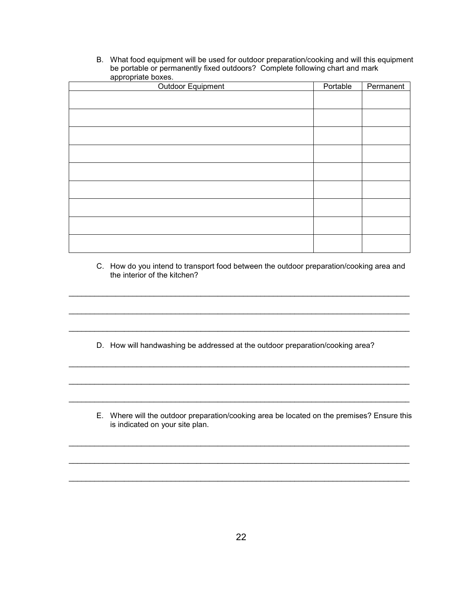B. What food equipment will be used for outdoor preparation/cooking and will this equipment be portable or permanently fixed outdoors? Complete following chart and mark appropriate boxes.

| Outdoor Equipment | Portable | Permanent |
|-------------------|----------|-----------|
|                   |          |           |
|                   |          |           |
|                   |          |           |
|                   |          |           |
|                   |          |           |
|                   |          |           |
|                   |          |           |
|                   |          |           |
|                   |          |           |
|                   |          |           |

C. How do you intend to transport food between the outdoor preparation/cooking area and the interior of the kitchen?

D. How will handwashing be addressed at the outdoor preparation/cooking area?

\_\_\_\_\_\_\_\_\_\_\_\_\_\_\_\_\_\_\_\_\_\_\_\_\_\_\_\_\_\_\_\_\_\_\_\_\_\_\_\_\_\_\_\_\_\_\_\_\_\_\_\_\_\_\_\_\_\_\_\_\_\_\_\_\_\_\_\_\_\_\_\_\_\_\_\_\_\_\_\_

\_\_\_\_\_\_\_\_\_\_\_\_\_\_\_\_\_\_\_\_\_\_\_\_\_\_\_\_\_\_\_\_\_\_\_\_\_\_\_\_\_\_\_\_\_\_\_\_\_\_\_\_\_\_\_\_\_\_\_\_\_\_\_\_\_\_\_\_\_\_\_\_\_\_\_\_\_\_\_\_

\_\_\_\_\_\_\_\_\_\_\_\_\_\_\_\_\_\_\_\_\_\_\_\_\_\_\_\_\_\_\_\_\_\_\_\_\_\_\_\_\_\_\_\_\_\_\_\_\_\_\_\_\_\_\_\_\_\_\_\_\_\_\_\_\_\_\_\_\_\_\_\_\_\_\_\_\_\_\_\_

\_\_\_\_\_\_\_\_\_\_\_\_\_\_\_\_\_\_\_\_\_\_\_\_\_\_\_\_\_\_\_\_\_\_\_\_\_\_\_\_\_\_\_\_\_\_\_\_\_\_\_\_\_\_\_\_\_\_\_\_\_\_\_\_\_\_\_\_\_\_\_\_\_\_\_\_\_\_\_\_

\_\_\_\_\_\_\_\_\_\_\_\_\_\_\_\_\_\_\_\_\_\_\_\_\_\_\_\_\_\_\_\_\_\_\_\_\_\_\_\_\_\_\_\_\_\_\_\_\_\_\_\_\_\_\_\_\_\_\_\_\_\_\_\_\_\_\_\_\_\_\_\_\_\_\_\_\_\_\_\_

\_\_\_\_\_\_\_\_\_\_\_\_\_\_\_\_\_\_\_\_\_\_\_\_\_\_\_\_\_\_\_\_\_\_\_\_\_\_\_\_\_\_\_\_\_\_\_\_\_\_\_\_\_\_\_\_\_\_\_\_\_\_\_\_\_\_\_\_\_\_\_\_\_\_\_\_\_\_\_\_

\_\_\_\_\_\_\_\_\_\_\_\_\_\_\_\_\_\_\_\_\_\_\_\_\_\_\_\_\_\_\_\_\_\_\_\_\_\_\_\_\_\_\_\_\_\_\_\_\_\_\_\_\_\_\_\_\_\_\_\_\_\_\_\_\_\_\_\_\_\_\_\_\_\_\_\_\_\_\_\_

\_\_\_\_\_\_\_\_\_\_\_\_\_\_\_\_\_\_\_\_\_\_\_\_\_\_\_\_\_\_\_\_\_\_\_\_\_\_\_\_\_\_\_\_\_\_\_\_\_\_\_\_\_\_\_\_\_\_\_\_\_\_\_\_\_\_\_\_\_\_\_\_\_\_\_\_\_\_\_\_

\_\_\_\_\_\_\_\_\_\_\_\_\_\_\_\_\_\_\_\_\_\_\_\_\_\_\_\_\_\_\_\_\_\_\_\_\_\_\_\_\_\_\_\_\_\_\_\_\_\_\_\_\_\_\_\_\_\_\_\_\_\_\_\_\_\_\_\_\_\_\_\_\_\_\_\_\_\_\_\_

E. Where will the outdoor preparation/cooking area be located on the premises? Ensure this is indicated on your site plan.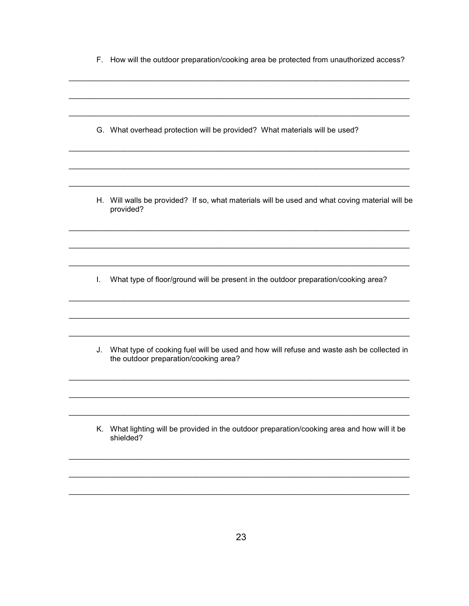|  |  |  |  |  |  |  | F. How will the outdoor preparation/cooking area be protected from unauthorized access? |  |
|--|--|--|--|--|--|--|-----------------------------------------------------------------------------------------|--|
|--|--|--|--|--|--|--|-----------------------------------------------------------------------------------------|--|

G. What overhead protection will be provided? What materials will be used?

H. Will walls be provided? If so, what materials will be used and what coving material will be provided?

I. What type of floor/ground will be present in the outdoor preparation/cooking area?

J. What type of cooking fuel will be used and how will refuse and waste ash be collected in the outdoor preparation/cooking area?

K. What lighting will be provided in the outdoor preparation/cooking area and how will it be shielded?